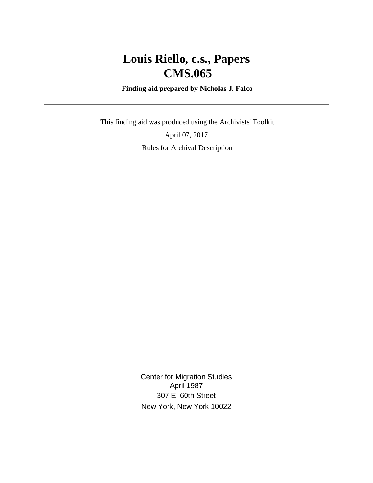# **Louis Riello, c.s., Papers CMS.065**

 **Finding aid prepared by Nicholas J. Falco**

 This finding aid was produced using the Archivists' Toolkit April 07, 2017 Rules for Archival Description

> Center for Migration Studies April 1987 307 E. 60th Street New York, New York 10022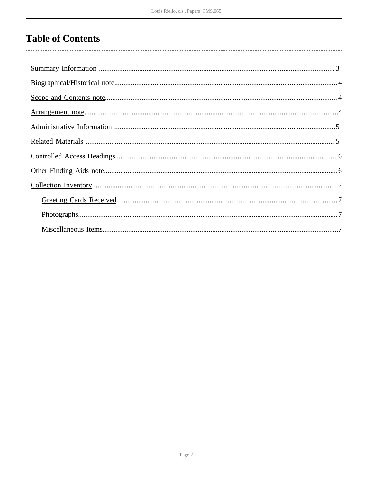## **Table of Contents**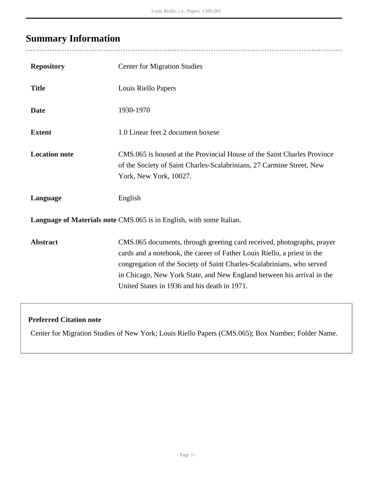## <span id="page-2-0"></span>**Summary Information**

 $\overline{a}$ 

| <b>Repository</b>                                                    | <b>Center for Migration Studies</b>                                                                                                                                                                                                                                                                                                                    |  |  |
|----------------------------------------------------------------------|--------------------------------------------------------------------------------------------------------------------------------------------------------------------------------------------------------------------------------------------------------------------------------------------------------------------------------------------------------|--|--|
| <b>Title</b>                                                         | Louis Riello Papers                                                                                                                                                                                                                                                                                                                                    |  |  |
| <b>Date</b>                                                          | 1930-1970                                                                                                                                                                                                                                                                                                                                              |  |  |
| <b>Extent</b>                                                        | 1.0 Linear feet 2 document boxese                                                                                                                                                                                                                                                                                                                      |  |  |
| <b>Location note</b>                                                 | CMS.065 is housed at the Provincial House of the Saint Charles Province<br>of the Society of Saint Charles-Scalabrinians, 27 Carmine Street, New<br>York, New York, 10027.                                                                                                                                                                             |  |  |
| Language                                                             | English                                                                                                                                                                                                                                                                                                                                                |  |  |
| Language of Materials note CMS.065 is in English, with some Italian. |                                                                                                                                                                                                                                                                                                                                                        |  |  |
| <b>Abstract</b>                                                      | CMS.065 documents, through greeting card received, photographs, prayer<br>cards and a notebook, the career of Father Louis Riello, a priest in the<br>congregation of the Society of Saint Charles-Scalabrinians, who served<br>in Chicago, New York State, and New England between his arrival in the<br>United States in 1936 and his death in 1971. |  |  |

### **Preferred Citation note**

Center for Migration Studies of New York; Louis Riello Papers (CMS.065); Box Number; Folder Name.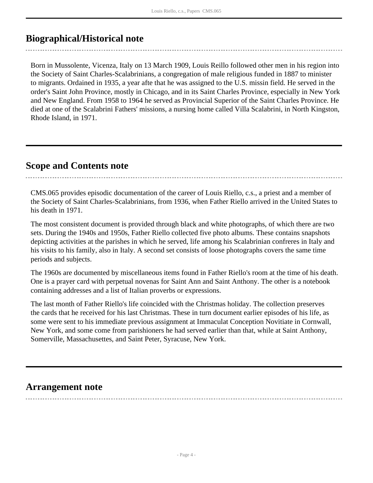### <span id="page-3-0"></span>**Biographical/Historical note**

Born in Mussolente, Vicenza, Italy on 13 March 1909, Louis Reillo followed other men in his region into the Society of Saint Charles-Scalabrinians, a congregation of male religious funded in 1887 to minister to migrants. Ordained in 1935, a year afte that he was assigned to the U.S. missin field. He served in the order's Saint John Province, mostly in Chicago, and in its Saint Charles Province, especially in New York and New England. From 1958 to 1964 he served as Provincial Superior of the Saint Charles Province. He died at one of the Scalabrini Fathers' missions, a nursing home called Villa Scalabrini, in North Kingston, Rhode Island, in 1971.

### <span id="page-3-1"></span>**Scope and Contents note**

CMS.065 provides episodic documentation of the career of Louis Riello, c.s., a priest and a member of the Society of Saint Charles-Scalabrinians, from 1936, when Father Riello arrived in the United States to his death in 1971.

The most consistent document is provided through black and white photographs, of which there are two sets. During the 1940s and 1950s, Father Riello collected five photo albums. These contains snapshots depicting activities at the parishes in which he served, life among his Scalabrinian confreres in Italy and his visits to his family, also in Italy. A second set consists of loose photographs covers the same time periods and subjects.

The 1960s are documented by miscellaneous items found in Father Riello's room at the time of his death. One is a prayer card with perpetual novenas for Saint Ann and Saint Anthony. The other is a notebook containing addresses and a list of Italian proverbs or expressions.

The last month of Father Riello's life coincided with the Christmas holiday. The collection preserves the cards that he received for his last Christmas. These in turn document earlier episodes of his life, as some were sent to his immediate previous assignment at Immaculat Conception Novitiate in Cornwall, New York, and some come from parishioners he had served earlier than that, while at Saint Anthony, Somerville, Massachusettes, and Saint Peter, Syracuse, New York.

### <span id="page-3-2"></span>**Arrangement note**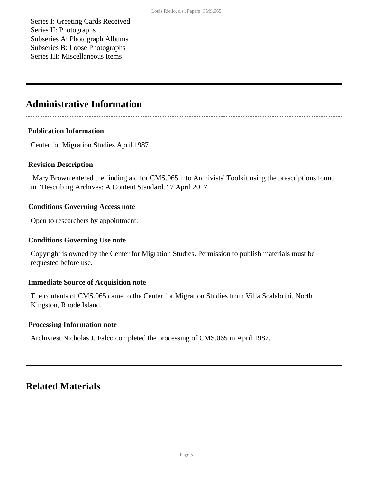Series I: Greeting Cards Received Series II: Photographs Subseries A: Photograph Albums Subseries B: Loose Photographs Series III: Miscellaneous Items

### <span id="page-4-0"></span>**Administrative Information**

#### **Publication Information**

Center for Migration Studies April 1987

#### **Revision Description**

 Mary Brown entered the finding aid for CMS.065 into Archivists' Toolkit using the prescriptions found in "Describing Archives: A Content Standard." 7 April 2017

#### **Conditions Governing Access note**

Open to researchers by appointment.

#### **Conditions Governing Use note**

Copyright is owned by the Center for Migration Studies. Permission to publish materials must be requested before use.

#### **Immediate Source of Acquisition note**

The contents of CMS.065 came to the Center for Migration Studies from Villa Scalabrini, North Kingston, Rhode Island.

#### **Processing Information note**

Archiviest Nicholas J. Falco completed the processing of CMS.065 in April 1987.

### <span id="page-4-1"></span>**Related Materials**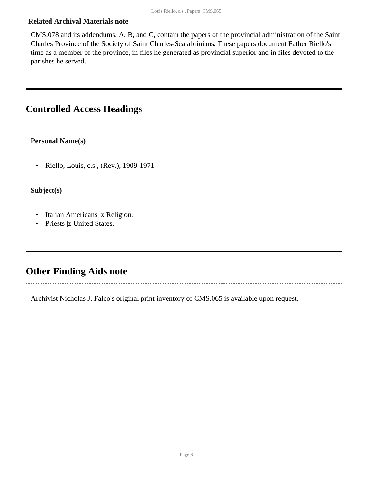#### **Related Archival Materials note**

CMS.078 and its addendums, A, B, and C, contain the papers of the provincial administration of the Saint Charles Province of the Society of Saint Charles-Scalabrinians. These papers document Father Riello's time as a member of the province, in files he generated as provincial superior and in files devoted to the parishes he served.

### <span id="page-5-0"></span>**Controlled Access Headings**

#### **Personal Name(s)**

• Riello, Louis, c.s., (Rev.), 1909-1971

#### **Subject(s)**

- Italian Americans | x Religion.
- Priests |z United States.

### <span id="page-5-1"></span>**Other Finding Aids note**

Archivist Nicholas J. Falco's original print inventory of CMS.065 is available upon request.